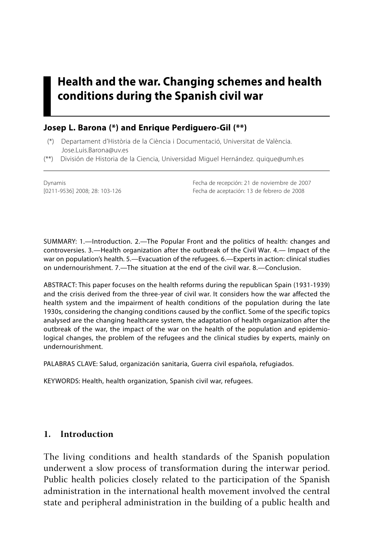# **Health and the war. Changing schemes and health conditions during the Spanish civil war**

## **Josep L. Barona (\*) and Enrique Perdiguero-Gil (\*\*)**

- (\*) Departament d'Història de la Ciència i Documentació, Universitat de València. Jose.Luis.Barona@uv.es
- (\*\*) División de Historia de la Ciencia, Universidad Miguel Hernández. quique@umh.es

Dynamis Fecha de recepción: 21 de noviembre de 2007 Fecha de aceptación: 13 de febrero de 2008

SUMMARY: 1.—Introduction. 2.—The Popular Front and the politics of health: changes and controversies. 3.—Health organization after the outbreak of the Civil War. 4.— Impact of the war on population's health. 5.—Evacuation of the refugees. 6.—Experts in action: clinical studies on undernourishment. 7.—The situation at the end of the civil war. 8.—Conclusion.

ABSTRACT: This paper focuses on the health reforms during the republican Spain (1931-1939) and the crisis derived from the three-year of civil war. It considers how the war affected the health system and the impairment of health conditions of the population during the late 1930s, considering the changing conditions caused by the conflict. Some of the specific topics analysed are the changing healthcare system, the adaptation of health organization after the outbreak of the war, the impact of the war on the health of the population and epidemiological changes, the problem of the refugees and the clinical studies by experts, mainly on undernourishment.

PALABRAS CLAVE: Salud, organización sanitaria, Guerra civil española, refugiados.

KEYWORDS: Health, health organization, Spanish civil war, refugees.

#### **1. Introduction**

The living conditions and health standards of the Spanish population underwent a slow process of transformation during the interwar period. Public health policies closely related to the participation of the Spanish administration in the international health movement involved the central state and peripheral administration in the building of a public health and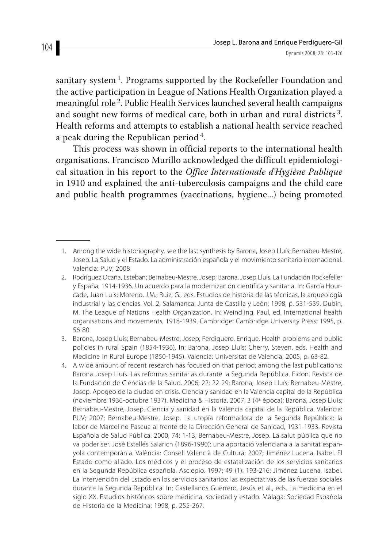sanitary system<sup>1</sup>. Programs supported by the Rockefeller Foundation and the active participation in League of Nations Health Organization played a meaningful role 2. Public Health Services launched several health campaigns and sought new forms of medical care, both in urban and rural districts 3. Health reforms and attempts to establish a national health service reached a peak during the Republican period 4.

This process was shown in official reports to the international health organisations. Francisco Murillo acknowledged the difficult epidemiological situation in his report to the *Office Internationale d'Hygiène Publique*  in 1910 and explained the anti-tuberculosis campaigns and the child care and public health programmes (vaccinations, hygiene...) being promoted

<sup>1.</sup> Among the wide historiography, see the last synthesis by Barona, Josep Lluís; Bernabeu-Mestre, Josep. La Salud y el Estado. La administración española y el movimiento sanitario internacional. Valencia: PUV; 2008

 <sup>2.</sup> Rodríguez Ocaña, Esteban; Bernabeu-Mestre, Josep; Barona, Josep Lluís. La Fundación Rockefeller y España, 1914-1936. Un acuerdo para la modernización científica y sanitaria. In: García Hourcade, Juan Luis; Moreno, J.M.; Ruiz, G., eds. Estudios de historia de las técnicas, la arqueología industrial y las ciencias. Vol. 2, Salamanca: Junta de Castilla y León; 1998, p. 531-539. Dubin, M. The League of Nations Health Organization. In: Weindling, Paul, ed. International health organisations and movements, 1918-1939. Cambridge: Cambridge University Press; 1995, p. 56-80.

 <sup>3.</sup> Barona, Josep Lluís; Bernabeu-Mestre, Josep; Perdiguero, Enrique. Health problems and public policies in rural Spain (1854-1936). In: Barona, Josep Lluís; Cherry, Steven, eds. Health and Medicine in Rural Europe (1850-1945). Valencia: Universitat de Valencia; 2005, p. 63-82.

 <sup>4.</sup> A wide amount of recent research has focused on that period; among the last publications: Barona Josep Lluís. Las reformas sanitarias durante la Segunda República. Eidon. Revista de la Fundación de Ciencias de la Salud. 2006; 22: 22-29; Barona, Josep Lluís; Bernabeu-Mestre, Josep. Apogeo de la ciudad en crisis. Ciencia y sanidad en la Valencia capital de la República (noviembre 1936-octubre 1937). Medicina & Historia. 2007; 3 (4ª época); Barona, Josep Lluís; Bernabeu-Mestre, Josep. Ciencia y sanidad en la Valencia capital de la República. Valencia: PUV; 2007; Bernabeu-Mestre, Josep. La utopía reformadora de la Segunda República: la labor de Marcelino Pascua al frente de la Dirección General de Sanidad, 1931-1933. Revista Española de Salud Pública. 2000; 74: 1-13; Bernabeu-Mestre, Josep. La salut pública que no va poder ser. José Estellés Salarich (1896-1990): una aportació valenciana a la sanitat espanyola contemporània. València: Consell Valencià de Cultura; 2007; Jiménez Lucena, Isabel. El Estado como aliado. Los médicos y el proceso de estatalización de los servicios sanitarios en la Segunda República española. Asclepio. 1997; 49 (1): 193-216; Jiménez Lucena, Isabel. La intervención del Estado en los servicios sanitarios: las expectativas de las fuerzas sociales durante la Segunda República. In: Castellanos Guerrero, Jesús et al., eds. La medicina en el siglo XX. Estudios históricos sobre medicina, sociedad y estado. Málaga: Sociedad Española de Historia de la Medicina; 1998, p. 255-267.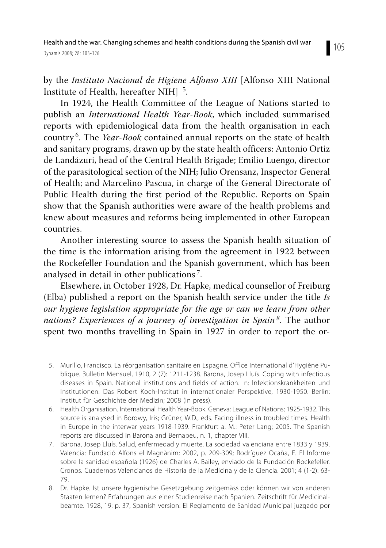by the *Instituto Nacional de Higiene Alfonso XIII* [Alfonso XIII National Institute of Health, hereafter NIH] 5.

In 1924, the Health Committee of the League of Nations started to publish an *International Health Year-Book*, which included summarised reports with epidemiological data from the health organisation in each country 6. The *Year-Book* contained annual reports on the state of health and sanitary programs, drawn up by the state health officers: Antonio Ortiz de Landázuri, head of the Central Health Brigade; Emilio Luengo, director of the parasitological section of the NIH; Julio Orensanz, Inspector General of Health; and Marcelino Pascua, in charge of the General Directorate of Public Health during the first period of the Republic. Reports on Spain show that the Spanish authorities were aware of the health problems and knew about measures and reforms being implemented in other European countries.

Another interesting source to assess the Spanish health situation of the time is the information arising from the agreement in 1922 between the Rockefeller Foundation and the Spanish government, which has been analysed in detail in other publications 7.

Elsewhere, in October 1928, Dr. Hapke, medical counsellor of Freiburg (Elba) published a report on the Spanish health service under the title *Is our hygiene legislation appropriate for the age or can we learn from other nations? Experiences of a journey of investigation in Spain<sup>8</sup>*. The author spent two months travelling in Spain in 1927 in order to report the or-

 <sup>5.</sup> Murillo, Francisco. La réorganisation sanitaire en Espagne. Office International d'Hygiène Publique. Bulletin Mensuel, 1910, 2 (7): 1211-1238. Barona, Josep Lluís. Coping with infectious diseases in Spain. National institutions and fields of action. In: Infektionskrankheiten und Institutionen. Das Robert Koch-Institut in internationaler Perspektive, 1930-1950. Berlin: Institut für Geschichte der Medizin; 2008 (In press).

 <sup>6.</sup> Health Organisation. International Health Year-Book. Geneva: League of Nations; 1925-1932. This source is analysed in Borowy, Iris; Grüner, W.D., eds. Facing illness in troubled times. Health in Europe in the interwar years 1918-1939. Frankfurt a. M.: Peter Lang; 2005. The Spanish reports are discussed in Barona and Bernabeu, n. 1, chapter VIII.

 <sup>7.</sup> Barona, Josep Lluís. Salud, enfermedad y muerte. La sociedad valenciana entre 1833 y 1939. Valencia: Fundació Alfons el Magnànim; 2002, p. 209-309; Rodríguez Ocaña, E. El Informe sobre la sanidad española (1926) de Charles A. Bailey, enviado de la Fundación Rockefeller. Cronos. Cuadernos Valencianos de Historia de la Medicina y de la Ciencia. 2001; 4 (1-2): 63- 79.

 <sup>8.</sup> Dr. Hapke. Ist unsere hygienische Gesetzgebung zeitgemäss oder können wir von anderen Staaten lernen? Erfahrungen aus einer Studienreise nach Spanien. Zeitschrift für Medicinalbeamte. 1928, 19: p. 37, Spanish version: El Reglamento de Sanidad Municipal juzgado por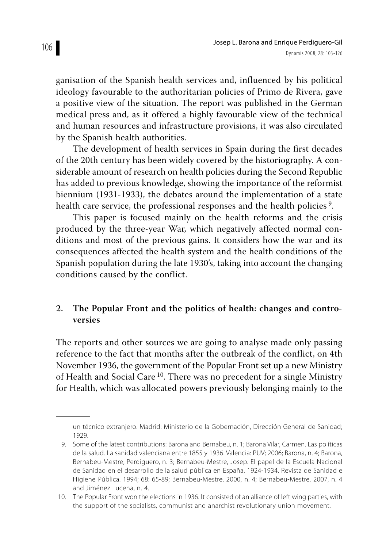ganisation of the Spanish health services and, influenced by his political ideology favourable to the authoritarian policies of Primo de Rivera, gave a positive view of the situation. The report was published in the German medical press and, as it offered a highly favourable view of the technical and human resources and infrastructure provisions, it was also circulated by the Spanish health authorities.

The development of health services in Spain during the first decades of the 20th century has been widely covered by the historiography. A considerable amount of research on health policies during the Second Republic has added to previous knowledge, showing the importance of the reformist biennium (1931-1933), the debates around the implementation of a state health care service, the professional responses and the health policies<sup>9</sup>.

This paper is focused mainly on the health reforms and the crisis produced by the three-year War, which negatively affected normal conditions and most of the previous gains. It considers how the war and its consequences affected the health system and the health conditions of the Spanish population during the late 1930's, taking into account the changing conditions caused by the conflict.

# **2. The Popular Front and the politics of health: changes and controversies**

The reports and other sources we are going to analyse made only passing reference to the fact that months after the outbreak of the conflict, on 4th November 1936, the government of the Popular Front set up a new Ministry of Health and Social Care <sup>10</sup>. There was no precedent for a single Ministry for Health, which was allocated powers previously belonging mainly to the

un técnico extranjero. Madrid: Ministerio de la Gobernación, Dirección General de Sanidad; 1929.

 <sup>9.</sup> Some of the latest contributions: Barona and Bernabeu, n. 1; Barona Vilar, Carmen. Las políticas de la salud. La sanidad valenciana entre 1855 y 1936. Valencia: PUV; 2006; Barona, n. 4; Barona, Bernabeu-Mestre, Perdiguero, n. 3; Bernabeu-Mestre, Josep. El papel de la Escuela Nacional de Sanidad en el desarrollo de la salud pública en España, 1924-1934. Revista de Sanidad e Higiene Pública. 1994; 68: 65-89; Bernabeu-Mestre, 2000, n. 4; Bernabeu-Mestre, 2007, n. 4 and Jiménez Lucena, n. 4.

 <sup>10.</sup> The Popular Front won the elections in 1936. It consisted of an alliance of left wing parties, with the support of the socialists, communist and anarchist revolutionary union movement.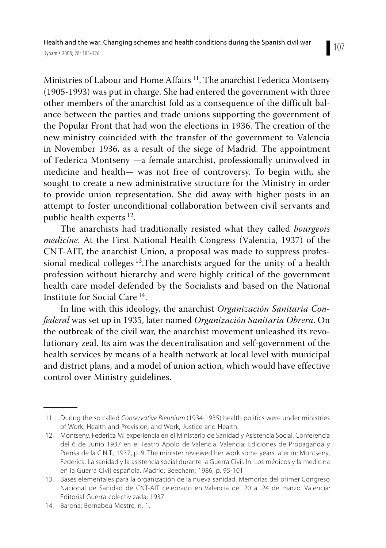Ministries of Labour and Home Affairs<sup>11</sup>. The anarchist Federica Montseny (1905-1993) was put in charge. She had entered the government with three other members of the anarchist fold as a consequence of the difficult balance between the parties and trade unions supporting the government of the Popular Front that had won the elections in 1936. The creation of the new ministry coincided with the transfer of the government to Valencia in November 1936, as a result of the siege of Madrid. The appointment of Federica Montseny —a female anarchist, professionally uninvolved in medicine and health— was not free of controversy. To begin with, she sought to create a new administrative structure for the Ministry in order to provide union representation. She did away with higher posts in an attempt to foster unconditional collaboration between civil servants and public health experts  $^{12}$ .

The anarchists had traditionally resisted what they called *bourgeois medicine*. At the First National Health Congress (Valencia, 1937) of the CNT-AIT, the anarchist Union, a proposal was made to suppress professional medical colleges 13.The anarchists argued for the unity of a health profession without hierarchy and were highly critical of the government health care model defended by the Socialists and based on the National Institute for Social Care 14.

In line with this ideology, the anarchist *Organización Sanitaria Confederal* was set up in 1935, later named *Organización Sanitaria Obrera*. On the outbreak of the civil war, the anarchist movement unleashed its revolutionary zeal. Its aim was the decentralisation and self-government of the health services by means of a health network at local level with municipal and district plans, and a model of union action, which would have effective control over Ministry guidelines.

 <sup>11.</sup> During the so called Conservative Biennium (1934-1935) health politics were under ministries of Work, Health and Prevision, and Work, Justice and Health.

 <sup>12.</sup> Montseny, Federica Mi experiencia en el Ministerio de Sanidad y Asistencia Social. Conferencia del 6 de Junio 1937 en el Teatro Apolo de Valencia. Valencia: Ediciones de Propaganda y Prensa de la C.N.T.; 1937, p. 9. The minister reviewed her work some years later in: Montseny, Federica. La sanidad y la asistencia social durante la Guerra Civil. In: Los médicos y la medicina en la Guerra Civil española. Madrid: Beecham; 1986, p. 95-101

 <sup>13.</sup> Bases elementales para la organización de la nueva sanidad. Memorias del primer Congreso Nacional de Sanidad de CNT-AIT celebrado en Valencia del 20 al 24 de marzo. Valencia: Editorial Guerra colectivizada; 1937.

 <sup>14.</sup> Barona; Bernabeu Mestre, n. 1.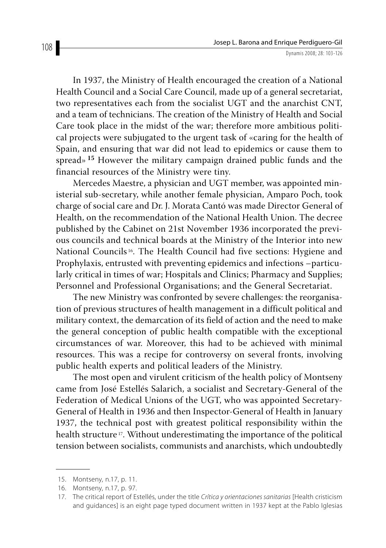In 1937, the Ministry of Health encouraged the creation of a National Health Council and a Social Care Council, made up of a general secretariat, two representatives each from the socialist UGT and the anarchist CNT, and a team of technicians. The creation of the Ministry of Health and Social Care took place in the midst of the war; therefore more ambitious political projects were subjugated to the urgent task of «caring for the health of Spain, and ensuring that war did not lead to epidemics or cause them to spread»**<sup>15</sup>** However the military campaign drained public funds and the financial resources of the Ministry were tiny.

Mercedes Maestre, a physician and UGT member, was appointed ministerial sub-secretary, while another female physician, Amparo Poch, took charge of social care and Dr. J. Morata Cantó was made Director General of Health, on the recommendation of the National Health Union. The decree published by the Cabinet on 21st November 1936 incorporated the previous councils and technical boards at the Ministry of the Interior into new National Councils 16. The Health Council had five sections: Hygiene and Prophylaxis, entrusted with preventing epidemics and infections –particularly critical in times of war; Hospitals and Clinics; Pharmacy and Supplies; Personnel and Professional Organisations; and the General Secretariat.

The new Ministry was confronted by severe challenges: the reorganisation of previous structures of health management in a difficult political and military context, the demarcation of its field of action and the need to make the general conception of public health compatible with the exceptional circumstances of war. Moreover, this had to be achieved with minimal resources. This was a recipe for controversy on several fronts, involving public health experts and political leaders of the Ministry.

The most open and virulent criticism of the health policy of Montseny came from José Estellés Salarich, a socialist and Secretary-General of the Federation of Medical Unions of the UGT, who was appointed Secretary-General of Health in 1936 and then Inspector-General of Health in January 1937, the technical post with greatest political responsibility within the health structure<sup>17</sup>. Without underestimating the importance of the political tension between socialists, communists and anarchists, which undoubtedly

 <sup>15.</sup> Montseny, n.17, p. 11.

 <sup>16.</sup> Montseny, n.17, p. 97.

<sup>17.</sup> The critical report of Estellés, under the title Crítica y orientaciones sanitarias [Health cristicism and guidances] is an eight page typed document written in 1937 kept at the Pablo Iglesias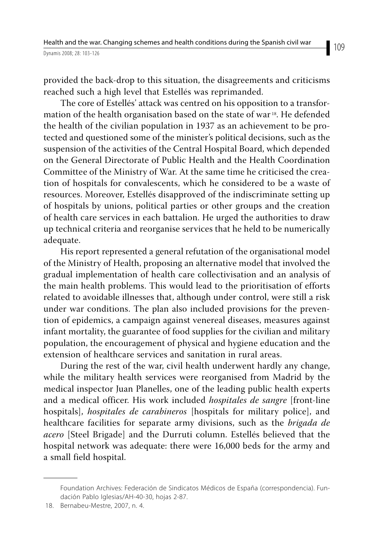provided the back-drop to this situation, the disagreements and criticisms reached such a high level that Estellés was reprimanded.

The core of Estellés' attack was centred on his opposition to a transformation of the health organisation based on the state of war<sup>18</sup>. He defended the health of the civilian population in 1937 as an achievement to be protected and questioned some of the minister's political decisions, such as the suspension of the activities of the Central Hospital Board, which depended on the General Directorate of Public Health and the Health Coordination Committee of the Ministry of War. At the same time he criticised the creation of hospitals for convalescents, which he considered to be a waste of resources. Moreover, Estellés disapproved of the indiscriminate setting up of hospitals by unions, political parties or other groups and the creation of health care services in each battalion. He urged the authorities to draw up technical criteria and reorganise services that he held to be numerically adequate.

His report represented a general refutation of the organisational model of the Ministry of Health, proposing an alternative model that involved the gradual implementation of health care collectivisation and an analysis of the main health problems. This would lead to the prioritisation of efforts related to avoidable illnesses that, although under control, were still a risk under war conditions. The plan also included provisions for the prevention of epidemics, a campaign against venereal diseases, measures against infant mortality, the guarantee of food supplies for the civilian and military population, the encouragement of physical and hygiene education and the extension of healthcare services and sanitation in rural areas.

During the rest of the war, civil health underwent hardly any change, while the military health services were reorganised from Madrid by the medical inspector Juan Planelles, one of the leading public health experts and a medical officer. His work included *hospitales de sangre* [front-line hospitals], *hospitales de carabineros* [hospitals for military police], and healthcare facilities for separate army divisions, such as the *brigada de acero* [Steel Brigade] and the Durruti column. Estellés believed that the hospital network was adequate: there were 16,000 beds for the army and a small field hospital.

Foundation Archives: Federación de Sindicatos Médicos de España (correspondencia). Fundación Pablo Iglesias/AH-40-30, hojas 2-87.

 <sup>18.</sup> Bernabeu-Mestre, 2007, n. 4.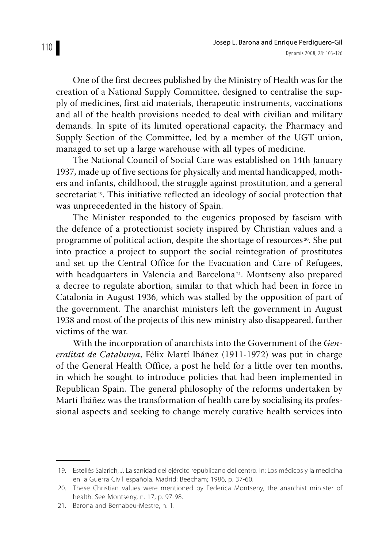One of the first decrees published by the Ministry of Health was for the creation of a National Supply Committee, designed to centralise the supply of medicines, first aid materials, therapeutic instruments, vaccinations and all of the health provisions needed to deal with civilian and military demands. In spite of its limited operational capacity, the Pharmacy and Supply Section of the Committee, led by a member of the UGT union, managed to set up a large warehouse with all types of medicine.

The National Council of Social Care was established on 14th January 1937, made up of five sections for physically and mental handicapped, mothers and infants, childhood, the struggle against prostitution, and a general secretariat 19. This initiative reflected an ideology of social protection that was unprecedented in the history of Spain.

The Minister responded to the eugenics proposed by fascism with the defence of a protectionist society inspired by Christian values and a programme of political action, despite the shortage of resources 20. She put into practice a project to support the social reintegration of prostitutes and set up the Central Office for the Evacuation and Care of Refugees, with headquarters in Valencia and Barcelona<sup>21</sup>. Montseny also prepared a decree to regulate abortion, similar to that which had been in force in Catalonia in August 1936, which was stalled by the opposition of part of the government. The anarchist ministers left the government in August 1938 and most of the projects of this new ministry also disappeared, further victims of the war.

With the incorporation of anarchists into the Government of the *Generalitat de Catalunya*, Félix Martí Ibáñez (1911-1972) was put in charge of the General Health Office, a post he held for a little over ten months, in which he sought to introduce policies that had been implemented in Republican Spain. The general philosophy of the reforms undertaken by Martí Ibáñez was the transformation of health care by socialising its professional aspects and seeking to change merely curative health services into

 <sup>19.</sup> Estellés Salarich, J. La sanidad del ejército republicano del centro. In: Los médicos y la medicina en la Guerra Civil española. Madrid: Beecham; 1986, p. 37-60.

 <sup>20.</sup> These Christian values were mentioned by Federica Montseny, the anarchist minister of health. See Montseny, n. 17, p. 97-98.

 <sup>21.</sup> Barona and Bernabeu-Mestre, n. 1.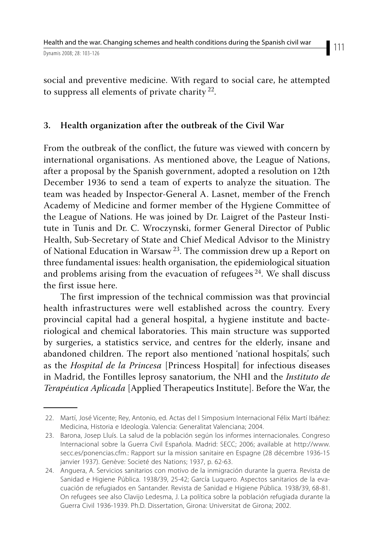social and preventive medicine. With regard to social care, he attempted to suppress all elements of private charity  $22$ .

### **3. Health organization after the outbreak of the Civil War**

From the outbreak of the conflict, the future was viewed with concern by international organisations. As mentioned above, the League of Nations, after a proposal by the Spanish government, adopted a resolution on 12th December 1936 to send a team of experts to analyze the situation. The team was headed by Inspector-General A. Lasnet, member of the French Academy of Medicine and former member of the Hygiene Committee of the League of Nations. He was joined by Dr. Laigret of the Pasteur Institute in Tunis and Dr. C. Wroczynski, former General Director of Public Health, Sub-Secretary of State and Chief Medical Advisor to the Ministry of National Education in Warsaw 23. The commission drew up a Report on three fundamental issues: health organisation, the epidemiological situation and problems arising from the evacuation of refugees  $24$ . We shall discuss the first issue here.

The first impression of the technical commission was that provincial health infrastructures were well established across the country. Every provincial capital had a general hospital, a hygiene institute and bacteriological and chemical laboratories. This main structure was supported by surgeries, a statistics service, and centres for the elderly, insane and abandoned children. The report also mentioned 'national hospitals', such as the *Hospital de la Princesa* [Princess Hospital] for infectious diseases in Madrid, the Fontilles leprosy sanatorium, the NHI and the *Instituto de Terapéutica Aplicada* [Applied Therapeutics Institute]. Before the War, the

 <sup>22.</sup> Martí, José Vicente; Rey, Antonio, ed. Actas del I Simposium Internacional Félix Martí Ibáñez: Medicina, Historia e Ideología. Valencia: Generalitat Valenciana; 2004.

 <sup>23.</sup> Barona, Josep Lluís. La salud de la población según los informes internacionales. Congreso Internacional sobre la Guerra Civil Española. Madrid: SECC; 2006; available at http://www. secc.es/ponencias.cfm.: Rapport sur la mission sanitaire en Espagne (28 décembre 1936-15 janvier 1937). Genève: Societé des Nations; 1937, p. 62-63.

 <sup>24.</sup> Anguera, A. Servicios sanitarios con motivo de la inmigración durante la guerra. Revista de Sanidad e Higiene Pública. 1938/39, 25-42; García Luquero. Aspectos sanitarios de la evacuación de refugiados en Santander. Revista de Sanidad e Higiene Pública. 1938/39, 68-81. On refugees see also Clavijo Ledesma, J. La política sobre la población refugiada durante la Guerra Civil 1936-1939. Ph.D. Dissertation, Girona: Universitat de Girona; 2002.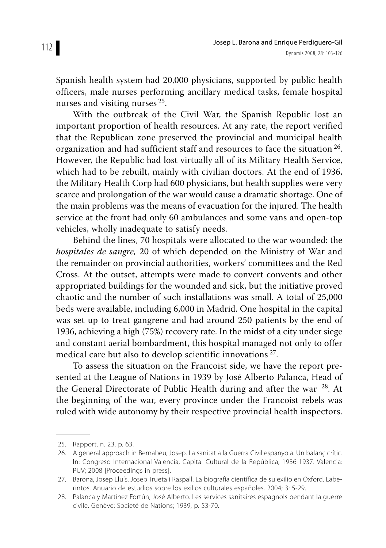Spanish health system had 20,000 physicians, supported by public health officers, male nurses performing ancillary medical tasks, female hospital nurses and visiting nurses 25.

With the outbreak of the Civil War, the Spanish Republic lost an important proportion of health resources. At any rate, the report verified that the Republican zone preserved the provincial and municipal health organization and had sufficient staff and resources to face the situation 26. However, the Republic had lost virtually all of its Military Health Service, which had to be rebuilt, mainly with civilian doctors. At the end of 1936, the Military Health Corp had 600 physicians, but health supplies were very scarce and prolongation of the war would cause a dramatic shortage. One of the main problems was the means of evacuation for the injured. The health service at the front had only 60 ambulances and some vans and open-top vehicles, wholly inadequate to satisfy needs.

Behind the lines, 70 hospitals were allocated to the war wounded: the *hospitales de sangre,* 20 of which depended on the Ministry of War and the remainder on provincial authorities, workers' committees and the Red Cross. At the outset, attempts were made to convert convents and other appropriated buildings for the wounded and sick, but the initiative proved chaotic and the number of such installations was small. A total of 25,000 beds were available, including 6,000 in Madrid. One hospital in the capital was set up to treat gangrene and had around 250 patients by the end of 1936, achieving a high (75%) recovery rate. In the midst of a city under siege and constant aerial bombardment, this hospital managed not only to offer medical care but also to develop scientific innovations 27.

To assess the situation on the Francoist side, we have the report presented at the League of Nations in 1939 by José Alberto Palanca, Head of the General Directorate of Public Health during and after the war  $^{28}$ . At the beginning of the war, every province under the Francoist rebels was ruled with wide autonomy by their respective provincial health inspectors.

 <sup>25.</sup> Rapport, n. 23, p. 63.

 <sup>26.</sup> A general approach in Bernabeu, Josep. La sanitat a la Guerra Civil espanyola. Un balanç crític. In: Congreso Internacional Valencia, Capital Cultural de la República, 1936-1937. Valencia: PUV; 2008 [Proceedings in press].

 <sup>27.</sup> Barona, Josep Lluís. Josep Trueta i Raspall. La biografía científica de su exilio en Oxford. Laberintos. Anuario de estudios sobre los exilios culturales españoles. 2004; 3: 5-29.

 <sup>28.</sup> Palanca y Martínez Fortún, José Alberto. Les services sanitaires espagnols pendant la guerre civile. Genève: Societé de Nations; 1939, p. 53-70.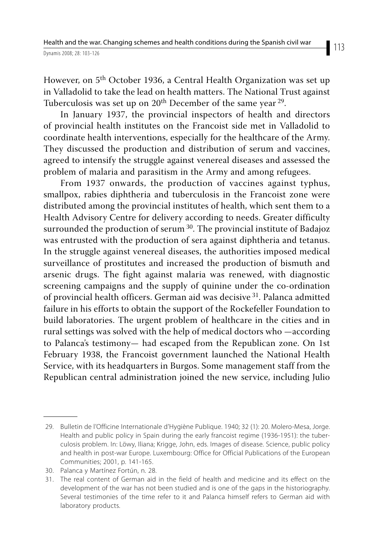However, on 5<sup>th</sup> October 1936, a Central Health Organization was set up in Valladolid to take the lead on health matters. The National Trust against Tuberculosis was set up on  $20<sup>th</sup>$  December of the same year  $2<sup>9</sup>$ .

In January 1937, the provincial inspectors of health and directors of provincial health institutes on the Francoist side met in Valladolid to coordinate health interventions, especially for the healthcare of the Army. They discussed the production and distribution of serum and vaccines, agreed to intensify the struggle against venereal diseases and assessed the problem of malaria and parasitism in the Army and among refugees.

From 1937 onwards, the production of vaccines against typhus, smallpox, rabies diphtheria and tuberculosis in the Francoist zone were distributed among the provincial institutes of health, which sent them to a Health Advisory Centre for delivery according to needs. Greater difficulty surrounded the production of serum <sup>30</sup>. The provincial institute of Badajoz was entrusted with the production of sera against diphtheria and tetanus. In the struggle against venereal diseases, the authorities imposed medical surveillance of prostitutes and increased the production of bismuth and arsenic drugs. The fight against malaria was renewed, with diagnostic screening campaigns and the supply of quinine under the co-ordination of provincial health officers. German aid was decisive 31. Palanca admitted failure in his efforts to obtain the support of the Rockefeller Foundation to build laboratories. The urgent problem of healthcare in the cities and in rural settings was solved with the help of medical doctors who —according to Palanca's testimony— had escaped from the Republican zone. On 1st February 1938, the Francoist government launched the National Health Service, with its headquarters in Burgos. Some management staff from the Republican central administration joined the new service, including Julio

 <sup>29.</sup> Bulletin de l'Officine Internationale d'Hygiène Publique. 1940; 32 (1): 20. Molero-Mesa, Jorge. Health and public policy in Spain during the early francoist regime (1936-1951): the tuberculosis problem. In: Löwy, Iliana; Krigge, John, eds. Images of disease. Science, public policy and health in post-war Europe. Luxembourg: Office for Official Publications of the European Communities; 2001, p. 141-165.

 <sup>30.</sup> Palanca y Martínez Fortún, n. 28.

 <sup>31.</sup> The real content of German aid in the field of health and medicine and its effect on the development of the war has not been studied and is one of the gaps in the historiography. Several testimonies of the time refer to it and Palanca himself refers to German aid with laboratory products.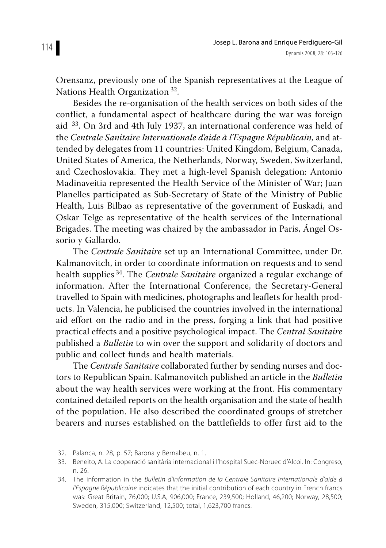Orensanz, previously one of the Spanish representatives at the League of Nations Health Organization 32.

Besides the re-organisation of the health services on both sides of the conflict, a fundamental aspect of healthcare during the war was foreign aid 33. On 3rd and 4th July 1937, an international conference was held of the *Centrale Sanitaire Internationale d'aide à l'Espagne Républicain,* and attended by delegates from 11 countries: United Kingdom, Belgium, Canada, United States of America, the Netherlands, Norway, Sweden, Switzerland, and Czechoslovakia. They met a high-level Spanish delegation: Antonio Madinaveitia represented the Health Service of the Minister of War; Juan Planelles participated as Sub-Secretary of State of the Ministry of Public Health, Luis Bilbao as representative of the government of Euskadi, and Oskar Telge as representative of the health services of the International Brigades. The meeting was chaired by the ambassador in Paris, Ángel Ossorio y Gallardo.

The *Centrale Sanitaire* set up an International Committee, under Dr. Kalmanovitch, in order to coordinate information on requests and to send health supplies 34. The *Centrale Sanitaire* organized a regular exchange of information. After the International Conference, the Secretary-General travelled to Spain with medicines, photographs and leaflets for health products. In Valencia, he publicised the countries involved in the international aid effort on the radio and in the press, forging a link that had positive practical effects and a positive psychological impact. The *Central Sanitaire* published a *Bulletin* to win over the support and solidarity of doctors and public and collect funds and health materials.

The *Centrale Sanitaire* collaborated further by sending nurses and doctors to Republican Spain. Kalmanovitch published an article in the *Bulletin*  about the way health services were working at the front. His commentary contained detailed reports on the health organisation and the state of health of the population. He also described the coordinated groups of stretcher bearers and nurses established on the battlefields to offer first aid to the

 <sup>32.</sup> Palanca, n. 28, p. 57; Barona y Bernabeu, n. 1.

 <sup>33.</sup> Beneito, A. La cooperació sanitària internacional i l'hospital Suec-Noruec d'Alcoi. In: Congreso, n. 26.

<sup>34.</sup> The information in the Bulletin d'Information de la Centrale Sanitaire Internationale d'aide à l'Espagne Républicaine indicates that the initial contribution of each country in French francs was: Great Britain, 76,000; U.S.A, 906,000; France, 239,500; Holland, 46,200; Norway, 28,500; Sweden, 315,000; Switzerland, 12,500; total, 1,623,700 francs.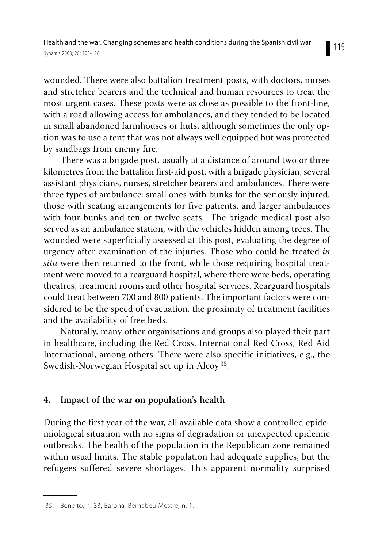wounded. There were also battalion treatment posts, with doctors, nurses and stretcher bearers and the technical and human resources to treat the most urgent cases. These posts were as close as possible to the front-line, with a road allowing access for ambulances, and they tended to be located in small abandoned farmhouses or huts, although sometimes the only option was to use a tent that was not always well equipped but was protected by sandbags from enemy fire.

There was a brigade post, usually at a distance of around two or three kilometres from the battalion first-aid post, with a brigade physician, several assistant physicians, nurses, stretcher bearers and ambulances. There were three types of ambulance: small ones with bunks for the seriously injured, those with seating arrangements for five patients, and larger ambulances with four bunks and ten or twelve seats. The brigade medical post also served as an ambulance station, with the vehicles hidden among trees. The wounded were superficially assessed at this post, evaluating the degree of urgency after examination of the injuries. Those who could be treated *in situ* were then returned to the front, while those requiring hospital treatment were moved to a rearguard hospital, where there were beds, operating theatres, treatment rooms and other hospital services. Rearguard hospitals could treat between 700 and 800 patients. The important factors were considered to be the speed of evacuation, the proximity of treatment facilities and the availability of free beds.

Naturally, many other organisations and groups also played their part in healthcare, including the Red Cross, International Red Cross, Red Aid International, among others. There were also specific initiatives, e.g., the Swedish-Norwegian Hospital set up in Alcoy 35.

#### **4. Impact of the war on population's health**

During the first year of the war, all available data show a controlled epidemiological situation with no signs of degradation or unexpected epidemic outbreaks. The health of the population in the Republican zone remained within usual limits. The stable population had adequate supplies, but the refugees suffered severe shortages. This apparent normality surprised

 <sup>35.</sup> Beneito, n. 33; Barona; Bernabeu Mestre, n. 1.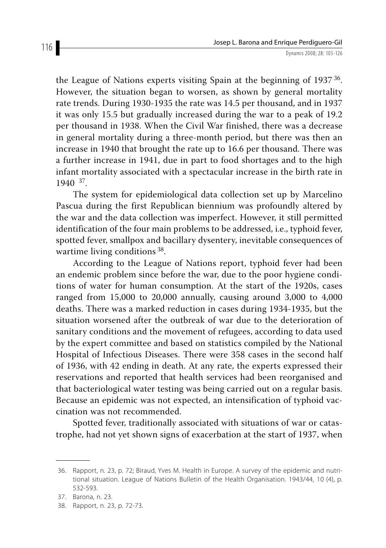the League of Nations experts visiting Spain at the beginning of  $1937^{36}$ . However, the situation began to worsen, as shown by general mortality rate trends. During 1930-1935 the rate was 14.5 per thousand, and in 1937 it was only 15.5 but gradually increased during the war to a peak of 19.2 per thousand in 1938. When the Civil War finished, there was a decrease in general mortality during a three-month period, but there was then an increase in 1940 that brought the rate up to 16.6 per thousand. There was a further increase in 1941, due in part to food shortages and to the high infant mortality associated with a spectacular increase in the birth rate in  $1940^{37}$ 

The system for epidemiological data collection set up by Marcelino Pascua during the first Republican biennium was profoundly altered by the war and the data collection was imperfect. However, it still permitted identification of the four main problems to be addressed, i.e., typhoid fever, spotted fever, smallpox and bacillary dysentery, inevitable consequences of wartime living conditions 38.

According to the League of Nations report, typhoid fever had been an endemic problem since before the war, due to the poor hygiene conditions of water for human consumption. At the start of the 1920s, cases ranged from 15,000 to 20,000 annually, causing around 3,000 to 4,000 deaths. There was a marked reduction in cases during 1934-1935, but the situation worsened after the outbreak of war due to the deterioration of sanitary conditions and the movement of refugees, according to data used by the expert committee and based on statistics compiled by the National Hospital of Infectious Diseases. There were 358 cases in the second half of 1936, with 42 ending in death. At any rate, the experts expressed their reservations and reported that health services had been reorganised and that bacteriological water testing was being carried out on a regular basis. Because an epidemic was not expected, an intensification of typhoid vaccination was not recommended.

Spotted fever, traditionally associated with situations of war or catastrophe, had not yet shown signs of exacerbation at the start of 1937, when

 <sup>36.</sup> Rapport, n. 23, p. 72; Biraud, Yves M. Health in Europe. A survey of the epidemic and nutritional situation. League of Nations Bulletin of the Health Organisation. 1943/44, 10 (4), p. 532-593.

 <sup>37.</sup> Barona, n. 23.

 <sup>38.</sup> Rapport, n. 23, p. 72-73.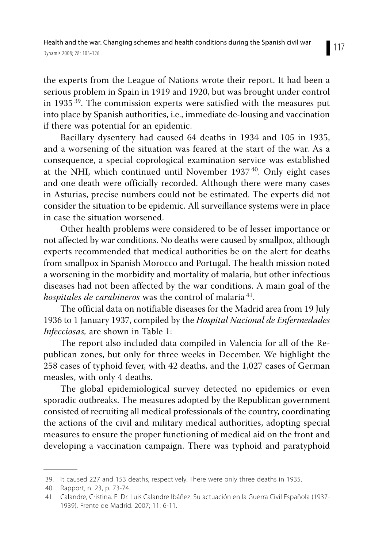the experts from the League of Nations wrote their report. It had been a serious problem in Spain in 1919 and 1920, but was brought under control in 1935 39. The commission experts were satisfied with the measures put into place by Spanish authorities, i.e., immediate de-lousing and vaccination if there was potential for an epidemic.

Bacillary dysentery had caused 64 deaths in 1934 and 105 in 1935, and a worsening of the situation was feared at the start of the war. As a consequence, a special coprological examination service was established at the NHI, which continued until November  $1937^{40}$ . Only eight cases and one death were officially recorded. Although there were many cases in Asturias, precise numbers could not be estimated. The experts did not consider the situation to be epidemic. All surveillance systems were in place in case the situation worsened.

Other health problems were considered to be of lesser importance or not affected by war conditions. No deaths were caused by smallpox, although experts recommended that medical authorities be on the alert for deaths from smallpox in Spanish Morocco and Portugal. The health mission noted a worsening in the morbidity and mortality of malaria, but other infectious diseases had not been affected by the war conditions. A main goal of the *hospitales de carabineros* was the control of malaria 41.

The official data on notifiable diseases for the Madrid area from 19 July 1936 to 1 January 1937, compiled by the *Hospital Nacional de Enfermedades Infecciosas,* are shown in Table 1:

The report also included data compiled in Valencia for all of the Republican zones, but only for three weeks in December. We highlight the 258 cases of typhoid fever, with 42 deaths, and the 1,027 cases of German measles, with only 4 deaths.

The global epidemiological survey detected no epidemics or even sporadic outbreaks. The measures adopted by the Republican government consisted of recruiting all medical professionals of the country, coordinating the actions of the civil and military medical authorities, adopting special measures to ensure the proper functioning of medical aid on the front and developing a vaccination campaign. There was typhoid and paratyphoid

 <sup>39.</sup> It caused 227 and 153 deaths, respectively. There were only three deaths in 1935.

 <sup>40.</sup> Rapport, n. 23, p. 73-74.

 <sup>41.</sup> Calandre, Cristina. El Dr. Luis Calandre Ibáñez. Su actuación en la Guerra Civil Española (1937- 1939). Frente de Madrid. 2007; 11: 6-11.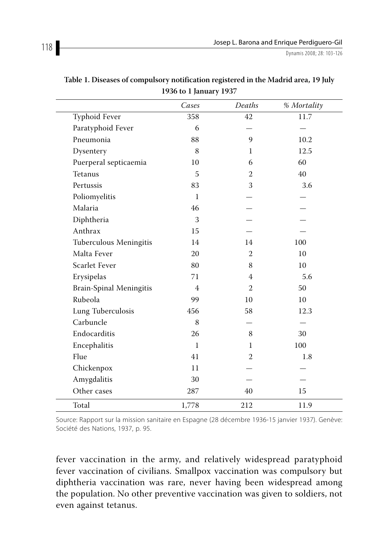|                         | Cases          | Deaths         | % Mortality |
|-------------------------|----------------|----------------|-------------|
| Typhoid Fever           | 358            | 42             | 11.7        |
| Paratyphoid Fever       | 6              |                |             |
| Pneumonia               | 88             | 9              | 10.2        |
| Dysentery               | 8              | $\mathbf{1}$   | 12.5        |
| Puerperal septicaemia   | 10             | 6              | 60          |
| Tetanus                 | 5              | $\overline{2}$ | 40          |
| Pertussis               | 83             | 3              | 3.6         |
| Poliomyelitis           | $\mathbf{1}$   |                |             |
| Malaria                 | 46             |                |             |
| Diphtheria              | 3              |                |             |
| Anthrax                 | 15             |                |             |
| Tuberculous Meningitis  | 14             | 14             | 100         |
| Malta Fever             | 20             | 2              | 10          |
| <b>Scarlet Fever</b>    | 80             | 8              | 10          |
| Erysipelas              | 71             | 4              | 5.6         |
| Brain-Spinal Meningitis | $\overline{4}$ | $\overline{2}$ | 50          |
| Rubeola                 | 99             | 10             | 10          |
| Lung Tuberculosis       | 456            | 58             | 12.3        |
| Carbuncle               | 8              |                |             |
| Endocarditis            | 26             | 8              | 30          |
| Encephalitis            | $\mathbf{1}$   | 1              | 100         |
| Flue                    | 41             | $\overline{2}$ | 1.8         |
| Chickenpox              | 11             |                |             |
| Amygdalitis             | 30             |                |             |
| Other cases             | 287            | 40             | 15          |
| Total                   | 1,778          | 212            | 11.9        |

**Table 1. Diseases of compulsory notification registered in the Madrid area, 19 July 1936 to 1 January 1937**

Source: Rapport sur la mission sanitaire en Espagne (28 décembre 1936-15 janvier 1937). Genève: Société des Nations, 1937, p. 95.

fever vaccination in the army, and relatively widespread paratyphoid fever vaccination of civilians. Smallpox vaccination was compulsory but diphtheria vaccination was rare, never having been widespread among the population. No other preventive vaccination was given to soldiers, not even against tetanus.

 $\overline{\phantom{0}}$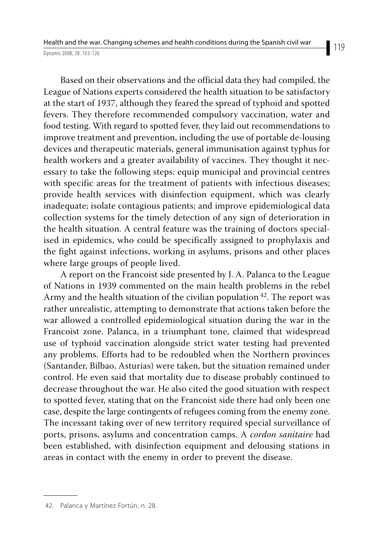Based on their observations and the official data they had compiled, the League of Nations experts considered the health situation to be satisfactory at the start of 1937, although they feared the spread of typhoid and spotted fevers. They therefore recommended compulsory vaccination, water and food testing. With regard to spotted fever, they laid out recommendations to improve treatment and prevention, including the use of portable de-lousing devices and therapeutic materials, general immunisation against typhus for health workers and a greater availability of vaccines. They thought it necessary to take the following steps: equip municipal and provincial centres with specific areas for the treatment of patients with infectious diseases; provide health services with disinfection equipment, which was clearly inadequate; isolate contagious patients; and improve epidemiological data collection systems for the timely detection of any sign of deterioration in the health situation. A central feature was the training of doctors specialised in epidemics, who could be specifically assigned to prophylaxis and the fight against infections, working in asylums, prisons and other places where large groups of people lived.

A report on the Francoist side presented by J. A. Palanca to the League of Nations in 1939 commented on the main health problems in the rebel Army and the health situation of the civilian population  $42$ . The report was rather unrealistic, attempting to demonstrate that actions taken before the war allowed a controlled epidemiological situation during the war in the Francoist zone. Palanca, in a triumphant tone, claimed that widespread use of typhoid vaccination alongside strict water testing had prevented any problems. Efforts had to be redoubled when the Northern provinces (Santander, Bilbao, Asturias) were taken, but the situation remained under control. He even said that mortality due to disease probably continued to decrease throughout the war. He also cited the good situation with respect to spotted fever, stating that on the Francoist side there had only been one case, despite the large contingents of refugees coming from the enemy zone. The incessant taking over of new territory required special surveillance of ports, prisons, asylums and concentration camps. A *cordon sanitaire* had been established, with disinfection equipment and delousing stations in areas in contact with the enemy in order to prevent the disease.

<sup>119</sup>

 <sup>42.</sup> Palanca y Martínez Fortún, n. 28.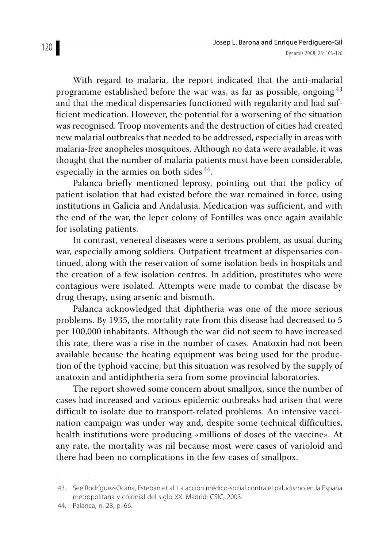With regard to malaria, the report indicated that the anti-malarial programme established before the war was, as far as possible, ongoing<sup>43</sup> and that the medical dispensaries functioned with regularity and had sufficient medication. However, the potential for a worsening of the situation was recognised. Troop movements and the destruction of cities had created new malarial outbreaks that needed to be addressed, especially in areas with malaria-free anopheles mosquitoes. Although no data were available, it was thought that the number of malaria patients must have been considerable, especially in the armies on both sides 44.

Palanca briefly mentioned leprosy, pointing out that the policy of patient isolation that had existed before the war remained in force, using institutions in Galicia and Andalusia. Medication was sufficient, and with the end of the war, the leper colony of Fontilles was once again available for isolating patients.

In contrast, venereal diseases were a serious problem, as usual during war, especially among soldiers. Outpatient treatment at dispensaries continued, along with the reservation of some isolation beds in hospitals and the creation of a few isolation centres. In addition, prostitutes who were contagious were isolated. Attempts were made to combat the disease by drug therapy, using arsenic and bismuth.

Palanca acknowledged that diphtheria was one of the more serious problems. By 1935, the mortality rate from this disease had decreased to 5 per 100,000 inhabitants. Although the war did not seem to have increased this rate, there was a rise in the number of cases. Anatoxin had not been available because the heating equipment was being used for the production of the typhoid vaccine, but this situation was resolved by the supply of anatoxin and antidiphtheria sera from some provincial laboratories.

The report showed some concern about smallpox, since the number of cases had increased and various epidemic outbreaks had arisen that were difficult to isolate due to transport-related problems. An intensive vaccination campaign was under way and, despite some technical difficulties, health institutions were producing «millions of doses of the vaccine». At any rate, the mortality was nil because most were cases of varioloid and there had been no complications in the few cases of smallpox.

 <sup>43.</sup> See Rodríguez-Ocaña, Esteban et al. La acción médico-social contra el paludismo en la España metropolitana y colonial del siglo XX. Madrid: CSIC, 2003.

 <sup>44.</sup> Palanca, n. 28, p. 66.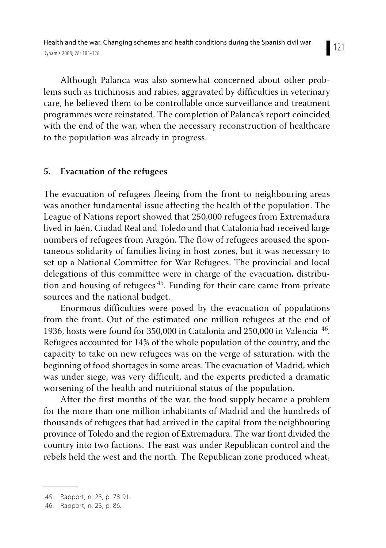Although Palanca was also somewhat concerned about other problems such as trichinosis and rabies, aggravated by difficulties in veterinary care, he believed them to be controllable once surveillance and treatment programmes were reinstated. The completion of Palanca's report coincided with the end of the war, when the necessary reconstruction of healthcare to the population was already in progress.

#### **5. Evacuation of the refugees**

The evacuation of refugees fleeing from the front to neighbouring areas was another fundamental issue affecting the health of the population. The League of Nations report showed that 250,000 refugees from Extremadura lived in Jaén, Ciudad Real and Toledo and that Catalonia had received large numbers of refugees from Aragón. The flow of refugees aroused the spontaneous solidarity of families living in host zones, but it was necessary to set up a National Committee for War Refugees. The provincial and local delegations of this committee were in charge of the evacuation, distribution and housing of refugees 45. Funding for their care came from private sources and the national budget.

Enormous difficulties were posed by the evacuation of populations from the front. Out of the estimated one million refugees at the end of 1936, hosts were found for 350,000 in Catalonia and 250,000 in Valencia  $^{46}$ . Refugees accounted for 14% of the whole population of the country, and the capacity to take on new refugees was on the verge of saturation, with the beginning of food shortages in some areas. The evacuation of Madrid, which was under siege, was very difficult, and the experts predicted a dramatic worsening of the health and nutritional status of the population.

After the first months of the war, the food supply became a problem for the more than one million inhabitants of Madrid and the hundreds of thousands of refugees that had arrived in the capital from the neighbouring province of Toledo and the region of Extremadura. The war front divided the country into two factions. The east was under Republican control and the rebels held the west and the north. The Republican zone produced wheat,

 <sup>45.</sup> Rapport, n. 23, p. 78-91.

 <sup>46.</sup> Rapport, n. 23, p. 86.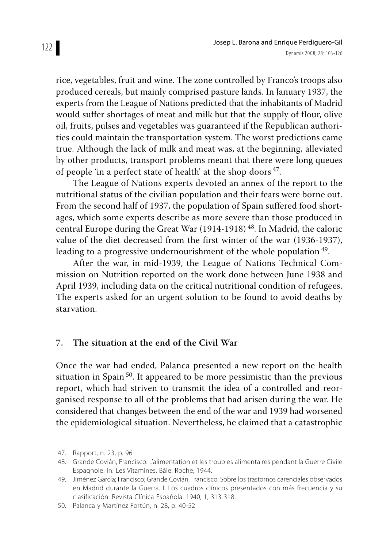rice, vegetables, fruit and wine. The zone controlled by Franco's troops also produced cereals, but mainly comprised pasture lands. In January 1937, the experts from the League of Nations predicted that the inhabitants of Madrid would suffer shortages of meat and milk but that the supply of flour, olive oil, fruits, pulses and vegetables was guaranteed if the Republican authorities could maintain the transportation system. The worst predictions came true. Although the lack of milk and meat was, at the beginning, alleviated by other products, transport problems meant that there were long queues of people 'in a perfect state of health' at the shop doors  $47$ .

The League of Nations experts devoted an annex of the report to the nutritional status of the civilian population and their fears were borne out. From the second half of 1937, the population of Spain suffered food shortages, which some experts describe as more severe than those produced in central Europe during the Great War (1914-1918)<sup>48</sup>. In Madrid, the caloric value of the diet decreased from the first winter of the war (1936-1937), leading to a progressive undernourishment of the whole population <sup>49</sup>.

After the war, in mid-1939, the League of Nations Technical Commission on Nutrition reported on the work done between June 1938 and April 1939, including data on the critical nutritional condition of refugees. The experts asked for an urgent solution to be found to avoid deaths by starvation.

#### **7. The situation at the end of the Civil War**

Once the war had ended, Palanca presented a new report on the health situation in Spain 50. It appeared to be more pessimistic than the previous report, which had striven to transmit the idea of a controlled and reorganised response to all of the problems that had arisen during the war. He considered that changes between the end of the war and 1939 had worsened the epidemiological situation. Nevertheless, he claimed that a catastrophic

 <sup>47.</sup> Rapport, n. 23, p. 96.

 <sup>48.</sup> Grande Covián, Francisco. L'alimentation et les troubles alimentaires pendant la Guerre Civile Espagnole. In: Les Vitamines. Bâle: Roche, 1944.

 <sup>49.</sup> Jiménez García; Francisco; Grande Covián, Francisco. Sobre los trastornos carenciales observados en Madrid durante la Guerra. I. Los cuadros clínicos presentados con más frecuencia y su clasificación. Revista Clínica Española. 1940, 1, 313-318.

 <sup>50.</sup> Palanca y Martínez Fortún, n. 28, p. 40-52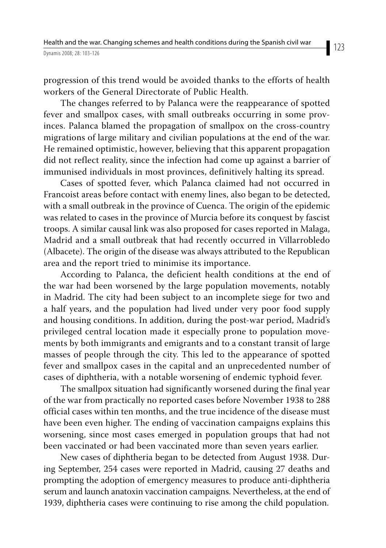progression of this trend would be avoided thanks to the efforts of health workers of the General Directorate of Public Health.

The changes referred to by Palanca were the reappearance of spotted fever and smallpox cases, with small outbreaks occurring in some provinces. Palanca blamed the propagation of smallpox on the cross-country migrations of large military and civilian populations at the end of the war. He remained optimistic, however, believing that this apparent propagation did not reflect reality, since the infection had come up against a barrier of immunised individuals in most provinces, definitively halting its spread.

Cases of spotted fever, which Palanca claimed had not occurred in Francoist areas before contact with enemy lines, also began to be detected, with a small outbreak in the province of Cuenca. The origin of the epidemic was related to cases in the province of Murcia before its conquest by fascist troops. A similar causal link was also proposed for cases reported in Malaga, Madrid and a small outbreak that had recently occurred in Villarrobledo (Albacete). The origin of the disease was always attributed to the Republican area and the report tried to minimise its importance.

According to Palanca, the deficient health conditions at the end of the war had been worsened by the large population movements, notably in Madrid. The city had been subject to an incomplete siege for two and a half years, and the population had lived under very poor food supply and housing conditions. In addition, during the post-war period, Madrid's privileged central location made it especially prone to population movements by both immigrants and emigrants and to a constant transit of large masses of people through the city. This led to the appearance of spotted fever and smallpox cases in the capital and an unprecedented number of cases of diphtheria, with a notable worsening of endemic typhoid fever.

The smallpox situation had significantly worsened during the final year of the war from practically no reported cases before November 1938 to 288 official cases within ten months, and the true incidence of the disease must have been even higher. The ending of vaccination campaigns explains this worsening, since most cases emerged in population groups that had not been vaccinated or had been vaccinated more than seven years earlier.

New cases of diphtheria began to be detected from August 1938. During September, 254 cases were reported in Madrid, causing 27 deaths and prompting the adoption of emergency measures to produce anti-diphtheria serum and launch anatoxin vaccination campaigns. Nevertheless, at the end of 1939, diphtheria cases were continuing to rise among the child population.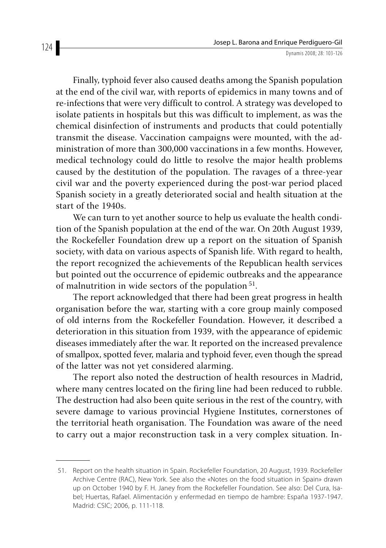Finally, typhoid fever also caused deaths among the Spanish population at the end of the civil war, with reports of epidemics in many towns and of re-infections that were very difficult to control. A strategy was developed to isolate patients in hospitals but this was difficult to implement, as was the chemical disinfection of instruments and products that could potentially transmit the disease. Vaccination campaigns were mounted, with the administration of more than 300,000 vaccinations in a few months. However, medical technology could do little to resolve the major health problems caused by the destitution of the population. The ravages of a three-year civil war and the poverty experienced during the post-war period placed Spanish society in a greatly deteriorated social and health situation at the start of the 1940s.

We can turn to yet another source to help us evaluate the health condition of the Spanish population at the end of the war. On 20th August 1939, the Rockefeller Foundation drew up a report on the situation of Spanish society, with data on various aspects of Spanish life. With regard to health, the report recognized the achievements of the Republican health services but pointed out the occurrence of epidemic outbreaks and the appearance of malnutrition in wide sectors of the population  $51$ .

The report acknowledged that there had been great progress in health organisation before the war, starting with a core group mainly composed of old interns from the Rockefeller Foundation. However, it described a deterioration in this situation from 1939, with the appearance of epidemic diseases immediately after the war. It reported on the increased prevalence of smallpox, spotted fever, malaria and typhoid fever, even though the spread of the latter was not yet considered alarming.

The report also noted the destruction of health resources in Madrid, where many centres located on the firing line had been reduced to rubble. The destruction had also been quite serious in the rest of the country, with severe damage to various provincial Hygiene Institutes, cornerstones of the territorial heath organisation. The Foundation was aware of the need to carry out a major reconstruction task in a very complex situation. In-

 <sup>51.</sup> Report on the health situation in Spain. Rockefeller Foundation, 20 August, 1939. Rockefeller Archive Centre (RAC), New York. See also the «Notes on the food situation in Spain» drawn up on October 1940 by F. H. Janey from the Rockefeller Foundation. See also: Del Cura, Isabel; Huertas, Rafael. Alimentación y enfermedad en tiempo de hambre: España 1937-1947. Madrid: CSIC; 2006, p. 111-118.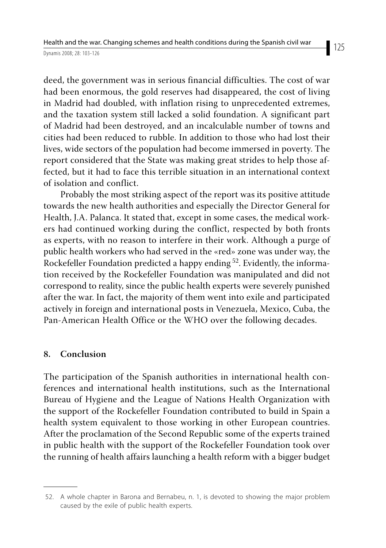deed, the government was in serious financial difficulties. The cost of war had been enormous, the gold reserves had disappeared, the cost of living in Madrid had doubled, with inflation rising to unprecedented extremes, and the taxation system still lacked a solid foundation. A significant part of Madrid had been destroyed, and an incalculable number of towns and cities had been reduced to rubble. In addition to those who had lost their lives, wide sectors of the population had become immersed in poverty. The report considered that the State was making great strides to help those affected, but it had to face this terrible situation in an international context of isolation and conflict.

Probably the most striking aspect of the report was its positive attitude towards the new health authorities and especially the Director General for Health, J.A. Palanca. It stated that, except in some cases, the medical workers had continued working during the conflict, respected by both fronts as experts, with no reason to interfere in their work. Although a purge of public health workers who had served in the «red» zone was under way, the Rockefeller Foundation predicted a happy ending <sup>52</sup>. Evidently, the information received by the Rockefeller Foundation was manipulated and did not correspond to reality, since the public health experts were severely punished after the war. In fact, the majority of them went into exile and participated actively in foreign and international posts in Venezuela, Mexico, Cuba, the Pan-American Health Office or the WHO over the following decades.

#### **8. Conclusion**

The participation of the Spanish authorities in international health conferences and international health institutions, such as the International Bureau of Hygiene and the League of Nations Health Organization with the support of the Rockefeller Foundation contributed to build in Spain a health system equivalent to those working in other European countries. After the proclamation of the Second Republic some of the experts trained in public health with the support of the Rockefeller Foundation took over the running of health affairs launching a health reform with a bigger budget

 <sup>52.</sup> A whole chapter in Barona and Bernabeu, n. 1, is devoted to showing the major problem caused by the exile of public health experts.